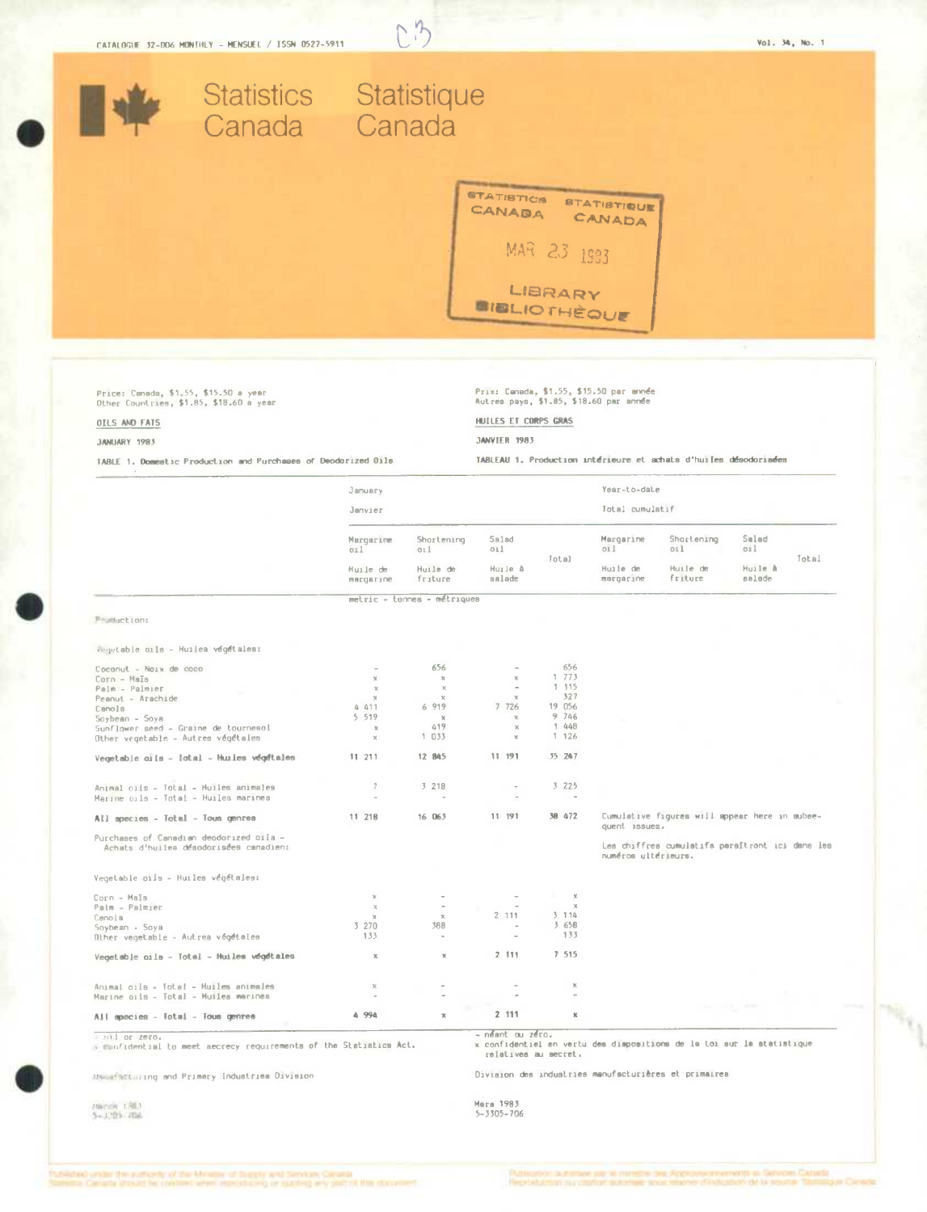

 $n1$  or zero. confidential to meet aecrecy requirements of the Statistics Act.

néant ou zéro. x confidentiel en vertu des dispositions de la toi aur la statistique ralatives au secret.

Division des industries manufacturières et primairea

Massifacturing and Primery Industries Division

Michel 1983<br>5-3209-706

Mers 1983

 $5 - 3305 - 706$ 

.<br>Cuttilistický unitáre film inutilización vid titul Monaster of Trupply and Services Canada.<br>Services Canada atrovad ha gyvelland administrativos og valuativos and gjart sit tituli contr

эцентрое рад эк пилетов све Арреско-согластей на Болкова Сължа